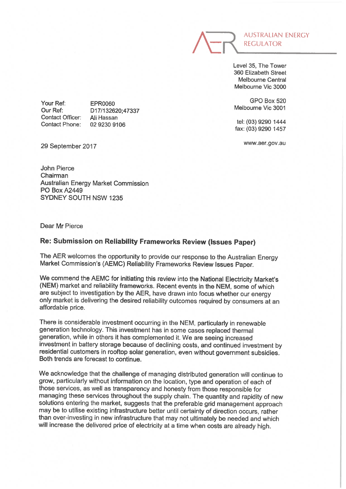

Level 35, The Tower 360 Elizabeth Street Melbourne Central Melbourne Vie 3000

GPO Box 520 Melbourne Vie 3001

tel: (03) 9290 1444 fax: (03) 9290 1457

www.aer.gov.au

Your Ref: Our Ref: Contact Officer: Contact Phone:

EPR0060 D 17/132620:47337 Ali Hassan 02 9230 9106

29 September 2017

John Pierce Chairman Australian Energy Market Commission PO Box A2449 SYDNEY SOUTH NSW 1235

Dear Mr Pierce

## Re: Submission on Reliability Frameworks Review (Issues Paper)

The AER welcomes the opportunity to provide our response to the Australian Energy Market Commission's (AEMC) Reliability Frameworks Review Issues Paper.

We commend the AEMC for initiating this review into the National Electricity Market's (NEM) market and reliability frameworks. Recent events in the NEM, some of which are subject to investigation by the AER, have drawn into focus whether our energy only market is delivering the desired reliability outcomes required by consumers at an affordable price.

There is considerable investment occurring in the NEM, particularly in renewable generation technology. This investment has in some cases replaced thermal generation, while in others it has complemented it. We are seeing increased investment in battery storage because of declining costs, and continued investment by residential customers in rooftop solar generation, even without government subsidies. Both trends are forecast to continue.

We acknowledge that the challenge of managing distributed generation will continue to grow, particularly without information on the location, type and operation of each of those services, as well as transparency and honesty from those responsible for managing these services throughout the supply chain. The quantity and rapidity of new solutions entering the market, suggests that the preferable grid management approach may be to utilise existing infrastructure better until certainty of direction occurs, rather than over-investing in new infrastructure that may not ultimately be needed and which will increase the delivered price of electricity at a time when costs are already high.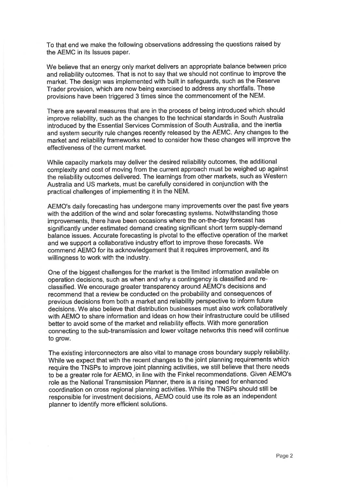To that end we make the following observations addressing the questions raised by the AEMC in its Issues paper.

We believe that an energy only market delivers an appropriate balance between price and reliability outcomes. That is not to say that we should not continue to improve the market. The design was implemented with built in safeguards, such as the Reserve Trader provision, which are now being exercised to address any shortfalls. These provisions have been triggered 3 times since the commencement of the NEM.

There are several measures that are in the process of being introduced which should improve reliability, such as the changes to the technical standards in South Australia introduced by the Essential Services Commission of South Australia, and the inertia and system security rule changes recently released by the AEMC. Any changes to the market and reliability frameworks need to consider how these changes will improve the effectiveness of the current market.

While capacity markets may deliver the desired reliability outcomes, the additional complexity and cost of moving from the current approach must be weighed up against the reliability outcomes delivered. The learnings from other markets, such as Western Australia and US markets, must be carefully considered in conjunction with the practical challenges of implementing it in the NEM.

AEMO's daily forecasting has undergone many improvements over the past five years with the addition of the wind and solar forecasting systems. Notwithstanding those improvements, there have been occasions where the on-the-day forecast has significantly under estimated demand creating significant short term supply-demand balance issues. Accurate forecasting is pivotal to the effective operation of the market and we support a collaborative industry effort to improve these forecasts. We commend AEMO for its acknowledgement that it requires improvement, and its willingness to work with the industry.

One of the biggest challenges for the market is the limited information available on operation decisions, such as when and why a contingency is classified and reclassified. We encourage greater transparency around AEMO's decisions and recommend that a review be conducted on the probability and consequences of previous decisions from both a market and reliability perspective to inform future decisions. We also believe that distribution businesses must also work collaboratively with AEMO to share information and ideas on how their infrastructure could be utilised better to avoid some of the market and reliability effects. With more generation connecting to the sub-transmission and lower voltage networks this need will continue to grow.

The existing interconnectors are also vital to manage cross boundary supply reliability. While we expect that with the recent changes to the joint planning requirements which require the TNSPs to improve joint planning activities, we still believe that there needs to be a greater role for AEMO, in line with the Finkel recommendations. Given AEMO's role as the National Transmission Planner, there is a rising need for enhanced coordination on cross regional planning activities. While the TNSPs should still be responsible for investment decisions, AEMO could use its role as an independent planner to identify more efficient solutions.